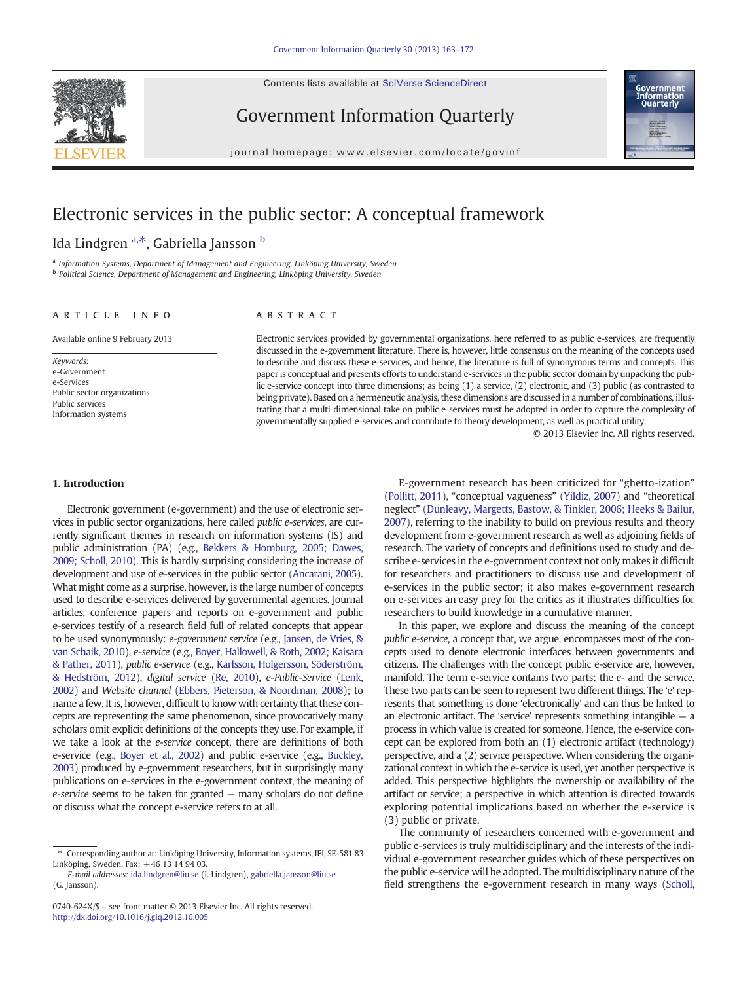Contents lists available at SciVerse ScienceDirect



Government Information Quarterly



journal homepage: www.elsevier.com/locate/govinf

## Electronic services in the public sector: A conceptual framework

Ida Lindgren <sup>a,\*</sup>, Gabriella Jansson <sup>b</sup>

<sup>a</sup> Information Systems, Department of Management and Engineering, Linköping University, Sweden <sup>b</sup> Political Science, Department of Management and Engineering, Linköping University, Sweden

#### article info abstract

Available online 9 February 2013

Keywords: e-Government e-Services Public sector organizations Public services Information systems

Electronic services provided by governmental organizations, here referred to as public e-services, are frequently discussed in the e-government literature. There is, however, little consensus on the meaning of the concepts used to describe and discuss these e-services, and hence, the literature is full of synonymous terms and concepts. This paper is conceptual and presents efforts to understand e-services in the public sector domain by unpacking the public e-service concept into three dimensions; as being (1) a service, (2) electronic, and (3) public (as contrasted to being private). Based on a hermeneutic analysis, these dimensions are discussed in a number of combinations, illustrating that a multi-dimensional take on public e-services must be adopted in order to capture the complexity of governmentally supplied e-services and contribute to theory development, as well as practical utility.

© 2013 Elsevier Inc. All rights reserved.

### 1. Introduction

Electronic government (e-government) and the use of electronic services in public sector organizations, here called public e-services, are currently significant themes in research on information systems (IS) and public administration (PA) (e.g., [Bekkers & Homburg, 2005; Dawes,](#page--1-0) [2009; Scholl, 2010\)](#page--1-0). This is hardly surprising considering the increase of development and use of e-services in the public sector ([Ancarani, 2005](#page--1-0)). What might come as a surprise, however, is the large number of concepts used to describe e-services delivered by governmental agencies. Journal articles, conference papers and reports on e-government and public e-services testify of a research field full of related concepts that appear to be used synonymously: e-government service (e.g., [Jansen, de Vries, &](#page--1-0) [van Schaik, 2010\)](#page--1-0), e-service (e.g., [Boyer, Hallowell, & Roth, 2002; Kaisara](#page--1-0) [& Pather, 2011](#page--1-0)), public e-service (e.g., [Karlsson, Holgersson, Söderström,](#page--1-0) [& Hedström, 2012\)](#page--1-0), digital service [\(Re, 2010\)](#page--1-0), e-Public-Service [\(Lenk,](#page--1-0) [2002\)](#page--1-0) and Website channel ([Ebbers, Pieterson, & Noordman, 2008](#page--1-0)); to name a few. It is, however, difficult to know with certainty that these concepts are representing the same phenomenon, since provocatively many scholars omit explicit definitions of the concepts they use. For example, if we take a look at the e-service concept, there are definitions of both e-service (e.g., [Boyer et al., 2002\)](#page--1-0) and public e-service (e.g., [Buckley,](#page--1-0) [2003\)](#page--1-0) produced by e-government researchers, but in surprisingly many publications on e-services in the e-government context, the meaning of e-service seems to be taken for granted — many scholars do not define or discuss what the concept e-service refers to at all.

E-government research has been criticized for "ghetto-ization" [\(Pollitt, 2011](#page--1-0)), "conceptual vagueness" ([Yildiz, 2007](#page--1-0)) and "theoretical neglect" [\(Dunleavy, Margetts, Bastow, & Tinkler, 2006; Heeks & Bailur,](#page--1-0) [2007](#page--1-0)), referring to the inability to build on previous results and theory development from e-government research as well as adjoining fields of research. The variety of concepts and definitions used to study and describe e-services in the e-government context not only makes it difficult for researchers and practitioners to discuss use and development of e-services in the public sector; it also makes e-government research on e-services an easy prey for the critics as it illustrates difficulties for researchers to build knowledge in a cumulative manner.

In this paper, we explore and discuss the meaning of the concept public e-service, a concept that, we argue, encompasses most of the concepts used to denote electronic interfaces between governments and citizens. The challenges with the concept public e-service are, however, manifold. The term e-service contains two parts: the e- and the service. These two parts can be seen to represent two different things. The 'e' represents that something is done 'electronically' and can thus be linked to an electronic artifact. The 'service' represents something intangible — a process in which value is created for someone. Hence, the e-service concept can be explored from both an (1) electronic artifact (technology) perspective, and a (2) service perspective. When considering the organizational context in which the e-service is used, yet another perspective is added. This perspective highlights the ownership or availability of the artifact or service; a perspective in which attention is directed towards exploring potential implications based on whether the e-service is (3) public or private.

The community of researchers concerned with e-government and public e-services is truly multidisciplinary and the interests of the individual e-government researcher guides which of these perspectives on the public e-service will be adopted. The multidisciplinary nature of the field strengthens the e-government research in many ways [\(Scholl,](#page--1-0)

<sup>⁎</sup> Corresponding author at: Linköping University, Information systems, IEI, SE-581 83 Linköping, Sweden. Fax: +46 13 14 94 03.

E-mail addresses: [ida.lindgren@liu.se](mailto:ida.lindgren@liu.se) (I. Lindgren), [gabriella.jansson@liu.se](mailto:gabriella.jansson@liu.se) (G. Jansson).

<sup>0740-624</sup>X/\$ – see front matter © 2013 Elsevier Inc. All rights reserved. <http://dx.doi.org/10.1016/j.giq.2012.10.005>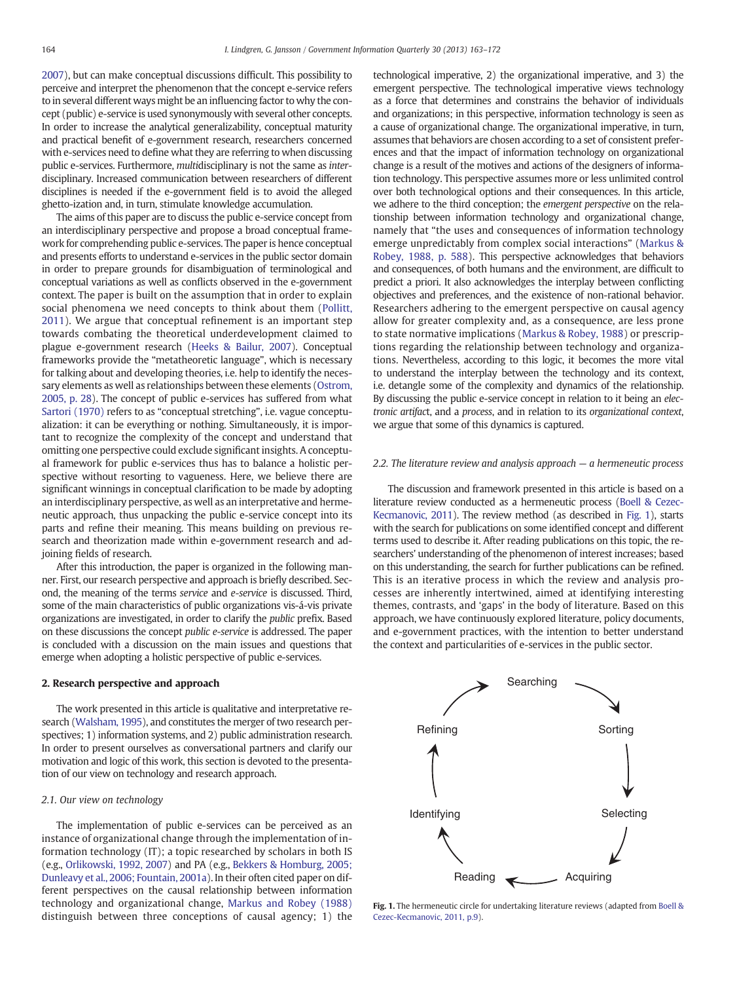[2007\)](#page--1-0), but can make conceptual discussions difficult. This possibility to perceive and interpret the phenomenon that the concept e-service refers to in several different ways might be an influencing factor to why the concept (public) e-service is used synonymously with several other concepts. In order to increase the analytical generalizability, conceptual maturity and practical benefit of e-government research, researchers concerned with e-services need to define what they are referring to when discussing public e-services. Furthermore, multidisciplinary is not the same as interdisciplinary. Increased communication between researchers of different disciplines is needed if the e-government field is to avoid the alleged ghetto-ization and, in turn, stimulate knowledge accumulation.

The aims of this paper are to discuss the public e-service concept from an interdisciplinary perspective and propose a broad conceptual framework for comprehending public e-services. The paper is hence conceptual and presents efforts to understand e-services in the public sector domain in order to prepare grounds for disambiguation of terminological and conceptual variations as well as conflicts observed in the e-government context. The paper is built on the assumption that in order to explain social phenomena we need concepts to think about them ([Pollitt,](#page--1-0) [2011](#page--1-0)). We argue that conceptual refinement is an important step towards combating the theoretical underdevelopment claimed to plague e-government research ([Heeks & Bailur, 2007\)](#page--1-0). Conceptual frameworks provide the "metatheoretic language", which is necessary for talking about and developing theories, i.e. help to identify the necessary elements as well as relationships between these elements [\(Ostrom,](#page--1-0) [2005, p. 28](#page--1-0)). The concept of public e-services has suffered from what [Sartori \(1970\)](#page--1-0) refers to as "conceptual stretching", i.e. vague conceptualization: it can be everything or nothing. Simultaneously, it is important to recognize the complexity of the concept and understand that omitting one perspective could exclude significant insights. A conceptual framework for public e-services thus has to balance a holistic perspective without resorting to vagueness. Here, we believe there are significant winnings in conceptual clarification to be made by adopting an interdisciplinary perspective, as well as an interpretative and hermeneutic approach, thus unpacking the public e-service concept into its parts and refine their meaning. This means building on previous research and theorization made within e-government research and adjoining fields of research.

After this introduction, the paper is organized in the following manner. First, our research perspective and approach is briefly described. Second, the meaning of the terms service and e-service is discussed. Third, some of the main characteristics of public organizations vis-á-vis private organizations are investigated, in order to clarify the public prefix. Based on these discussions the concept public e-service is addressed. The paper is concluded with a discussion on the main issues and questions that emerge when adopting a holistic perspective of public e-services.

#### 2. Research perspective and approach

The work presented in this article is qualitative and interpretative research [\(Walsham, 1995\)](#page--1-0), and constitutes the merger of two research perspectives; 1) information systems, and 2) public administration research. In order to present ourselves as conversational partners and clarify our motivation and logic of this work, this section is devoted to the presentation of our view on technology and research approach.

#### 2.1. Our view on technology

The implementation of public e-services can be perceived as an instance of organizational change through the implementation of information technology (IT); a topic researched by scholars in both IS (e.g., [Orlikowski, 1992, 2007](#page--1-0)) and PA (e.g., [Bekkers & Homburg, 2005;](#page--1-0) [Dunleavy et al., 2006; Fountain, 2001a\)](#page--1-0). In their often cited paper on different perspectives on the causal relationship between information technology and organizational change, [Markus and Robey \(1988\)](#page--1-0) distinguish between three conceptions of causal agency; 1) the

technological imperative, 2) the organizational imperative, and 3) the emergent perspective. The technological imperative views technology as a force that determines and constrains the behavior of individuals and organizations; in this perspective, information technology is seen as a cause of organizational change. The organizational imperative, in turn, assumes that behaviors are chosen according to a set of consistent preferences and that the impact of information technology on organizational change is a result of the motives and actions of the designers of information technology. This perspective assumes more or less unlimited control over both technological options and their consequences. In this article, we adhere to the third conception; the emergent perspective on the relationship between information technology and organizational change, namely that "the uses and consequences of information technology emerge unpredictably from complex social interactions" [\(Markus &](#page--1-0) [Robey, 1988, p. 588](#page--1-0)). This perspective acknowledges that behaviors and consequences, of both humans and the environment, are difficult to predict a priori. It also acknowledges the interplay between conflicting objectives and preferences, and the existence of non-rational behavior. Researchers adhering to the emergent perspective on causal agency allow for greater complexity and, as a consequence, are less prone to state normative implications [\(Markus & Robey, 1988](#page--1-0)) or prescriptions regarding the relationship between technology and organizations. Nevertheless, according to this logic, it becomes the more vital to understand the interplay between the technology and its context, i.e. detangle some of the complexity and dynamics of the relationship. By discussing the public e-service concept in relation to it being an electronic artifact, and a process, and in relation to its organizational context, we argue that some of this dynamics is captured.

#### 2.2. The literature review and analysis approach — a hermeneutic process

The discussion and framework presented in this article is based on a literature review conducted as a hermeneutic process [\(Boell & Cezec-](#page--1-0)[Kecmanovic, 2011\)](#page--1-0). The review method (as described in Fig. 1), starts with the search for publications on some identified concept and different terms used to describe it. After reading publications on this topic, the researchers' understanding of the phenomenon of interest increases; based on this understanding, the search for further publications can be refined. This is an iterative process in which the review and analysis processes are inherently intertwined, aimed at identifying interesting themes, contrasts, and 'gaps' in the body of literature. Based on this approach, we have continuously explored literature, policy documents, and e-government practices, with the intention to better understand the context and particularities of e-services in the public sector.



Fig. 1. The hermeneutic circle for undertaking literature reviews (adapted from [Boell &](#page--1-0) [Cezec-Kecmanovic, 2011, p.9](#page--1-0)).